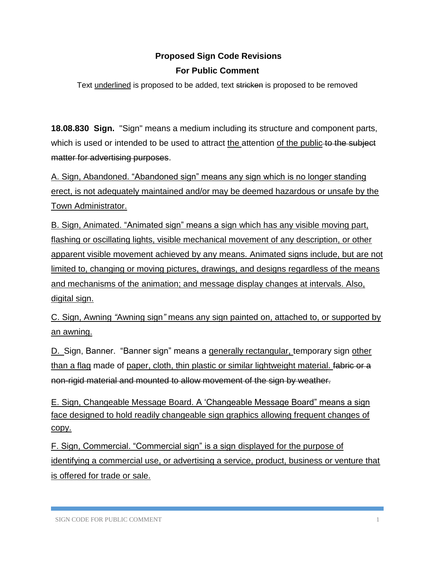# **Proposed Sign Code Revisions For Public Comment**

Text underlined is proposed to be added, text stricken is proposed to be removed

**18.08.830 Sign.** "Sign" means a medium including its structure and component parts, which is used or intended to be used to attract the attention of the public to the subject matter for advertising purposes.

A. Sign, Abandoned. "Abandoned sign" means any sign which is no longer standing erect, is not adequately maintained and/or may be deemed hazardous or unsafe by the Town Administrator.

B. Sign, Animated. "Animated sign" means a sign which has any visible moving part, flashing or oscillating lights, visible mechanical movement of any description, or other apparent visible movement achieved by any means. Animated signs include, but are not limited to, changing or moving pictures, drawings, and designs regardless of the means and mechanisms of the animation; and message display changes at intervals. Also, digital sign.

C. Sign, Awning *"*Awning sign*"* means any sign painted on, attached to, or supported by an awning.

D. Sign, Banner. "Banner sign" means a generally rectangular, temporary sign other than a flag made of paper, cloth, thin plastic or similar lightweight material. fabric or a non-rigid material and mounted to allow movement of the sign by weather.

E. Sign, Changeable Message Board. A 'Changeable Message Board" means a sign face designed to hold readily changeable sign graphics allowing frequent changes of copy.

F. Sign, Commercial. "Commercial sign" is a sign displayed for the purpose of identifying a commercial use, or advertising a service, product, business or venture that is offered for trade or sale.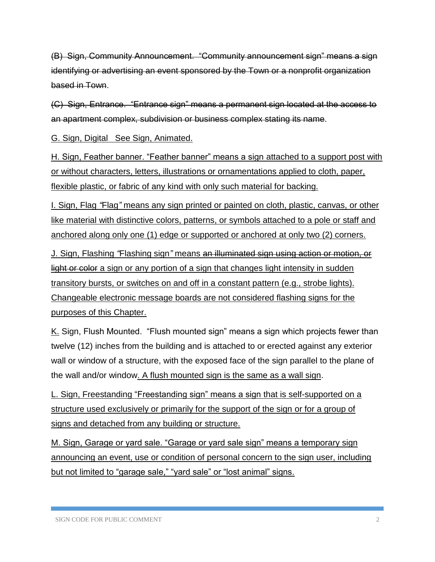(B) Sign, Community Announcement. "Community announcement sign" means a sign identifying or advertising an event sponsored by the Town or a nonprofit organization based in Town.

(C) Sign, Entrance. "Entrance sign" means a permanent sign located at the access to an apartment complex, subdivision or business complex stating its name.

G. Sign, Digital See Sign, Animated.

H. Sign, Feather banner. "Feather banner" means a sign attached to a support post with or without characters, letters, illustrations or ornamentations applied to cloth, paper, flexible plastic, or fabric of any kind with only such material for backing.

I. Sign, Flag *"*Flag*"* means any sign printed or painted on cloth, plastic, canvas, or other like material with distinctive colors, patterns, or symbols attached to a pole or staff and anchored along only one (1) edge or supported or anchored at only two (2) corners.

J. Sign, Flashing *"*Flashing sign*"* means an illuminated sign using action or motion, or light or color a sign or any portion of a sign that changes light intensity in sudden transitory bursts, or switches on and off in a constant pattern (e.g., strobe lights). Changeable electronic message boards are not considered flashing signs for the purposes of this Chapter.

K. Sign, Flush Mounted. "Flush mounted sign" means a sign which projects fewer than twelve (12) inches from the building and is attached to or erected against any exterior wall or window of a structure, with the exposed face of the sign parallel to the plane of the wall and/or window. A flush mounted sign is the same as a wall sign.

L. Sign, Freestanding "Freestanding sign" means a sign that is self-supported on a structure used exclusively or primarily for the support of the sign or for a group of signs and detached from any building or structure.

M. Sign, Garage or yard sale. "Garage or yard sale sign" means a temporary sign announcing an event, use or condition of personal concern to the sign user, including but not limited to "garage sale," "yard sale" or "lost animal" signs.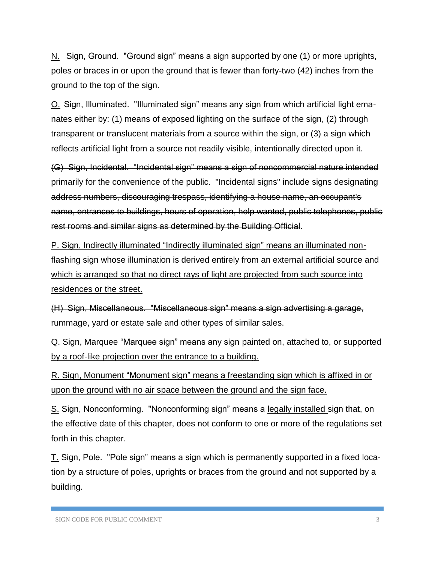N. Sign, Ground. "Ground sign" means a sign supported by one (1) or more uprights, poles or braces in or upon the ground that is fewer than forty-two (42) inches from the ground to the top of the sign.

O. Sign, Illuminated. "Illuminated sign" means any sign from which artificial light emanates either by: (1) means of exposed lighting on the surface of the sign, (2) through transparent or translucent materials from a source within the sign, or (3) a sign which reflects artificial light from a source not readily visible, intentionally directed upon it.

(G) Sign, Incidental. "Incidental sign" means a sign of noncommercial nature intended primarily for the convenience of the public. "Incidental signs" include signs designating address numbers, discouraging trespass, identifying a house name, an occupant's name, entrances to buildings, hours of operation, help wanted, public telephones, public rest rooms and similar signs as determined by the Building Official.

P. Sign, Indirectly illuminated "Indirectly illuminated sign" means an illuminated nonflashing sign whose illumination is derived entirely from an external artificial source and which is arranged so that no direct rays of light are projected from such source into residences or the street.

(H) Sign, Miscellaneous. "Miscellaneous sign" means a sign advertising a garage, rummage, yard or estate sale and other types of similar sales.

Q. Sign, Marquee "Marquee sign" means any sign painted on, attached to, or supported by a roof-like projection over the entrance to a building.

R. Sign, Monument "Monument sign" means a freestanding sign which is affixed in or upon the ground with no air space between the ground and the sign face.

S. Sign, Nonconforming. "Nonconforming sign" means a legally installed sign that, on the effective date of this chapter, does not conform to one or more of the regulations set forth in this chapter.

T. Sign, Pole. "Pole sign" means a sign which is permanently supported in a fixed location by a structure of poles, uprights or braces from the ground and not supported by a building.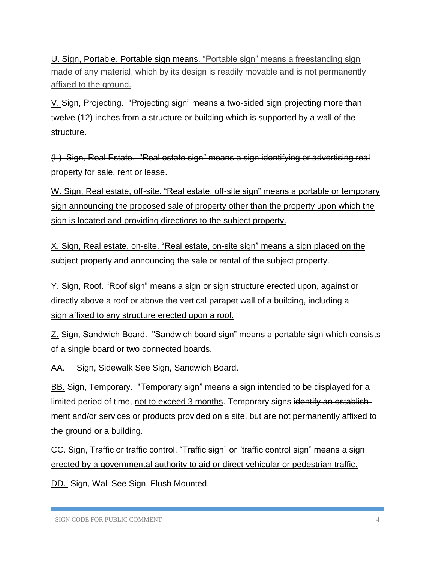U. Sign, Portable. Portable sign means. "Portable sign" means a freestanding sign made of any material, which by its design is readily movable and is not permanently affixed to the ground.

V. Sign, Projecting. "Projecting sign" means a two-sided sign projecting more than twelve (12) inches from a structure or building which is supported by a wall of the structure.

(L) Sign, Real Estate. "Real estate sign" means a sign identifying or advertising real property for sale, rent or lease.

W. Sign, Real estate, off-site. "Real estate, off-site sign" means a portable or temporary sign announcing the proposed sale of property other than the property upon which the sign is located and providing directions to the subject property.

X. Sign, Real estate, on-site. "Real estate, on-site sign" means a sign placed on the subject property and announcing the sale or rental of the subject property.

Y. Sign, Roof. "Roof sign" means a sign or sign structure erected upon, against or directly above a roof or above the vertical parapet wall of a building, including a sign affixed to any structure erected upon a roof.

Z. Sign, Sandwich Board. "Sandwich board sign" means a portable sign which consists of a single board or two connected boards.

AA. Sign, Sidewalk See Sign, Sandwich Board.

BB. Sign, Temporary. "Temporary sign" means a sign intended to be displayed for a limited period of time, not to exceed 3 months. Temporary signs identify an establishment and/or services or products provided on a site, but are not permanently affixed to the ground or a building.

CC. Sign, Traffic or traffic control. "Traffic sign" or "traffic control sign" means a sign erected by a governmental authority to aid or direct vehicular or pedestrian traffic.

DD. Sign, Wall See Sign, Flush Mounted.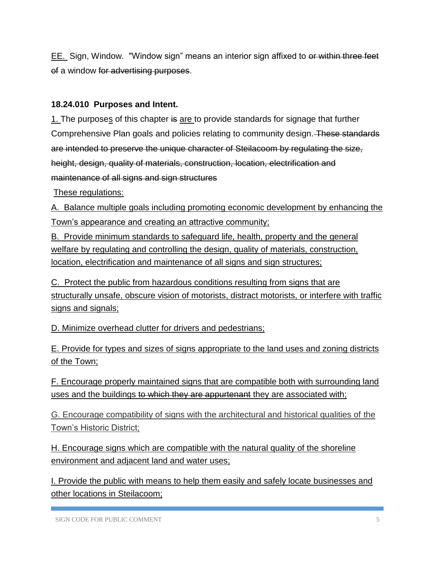EE. Sign, Window. "Window sign" means an interior sign affixed to or within three feet of a window for advertising purposes.

#### **18.24.010 Purposes and Intent.**

1. The purposes of this chapter is are to provide standards for signage that further Comprehensive Plan goals and policies relating to community design. These standards are intended to preserve the unique character of Steilacoom by regulating the size, height, design, quality of materials, construction, location, electrification and maintenance of all signs and sign structures

These regulations:

A. Balance multiple goals including promoting economic development by enhancing the Town's appearance and creating an attractive community;

B. Provide minimum standards to safeguard life, health, property and the general welfare by regulating and controlling the design, quality of materials, construction, location, electrification and maintenance of all signs and sign structures;

C. Protect the public from hazardous conditions resulting from signs that are structurally unsafe, obscure vision of motorists, distract motorists, or interfere with traffic signs and signals;

D. Minimize overhead clutter for drivers and pedestrians;

E. Provide for types and sizes of signs appropriate to the land uses and zoning districts of the Town;

F. Encourage properly maintained signs that are compatible both with surrounding land uses and the buildings to which they are appurtenant they are associated with;

G. Encourage compatibility of signs with the architectural and historical qualities of the Town's Historic District;

H. Encourage signs which are compatible with the natural quality of the shoreline environment and adjacent land and water uses;

I. Provide the public with means to help them easily and safely locate businesses and other locations in Steilacoom;

SIGN CODE FOR PUBLIC COMMENT 5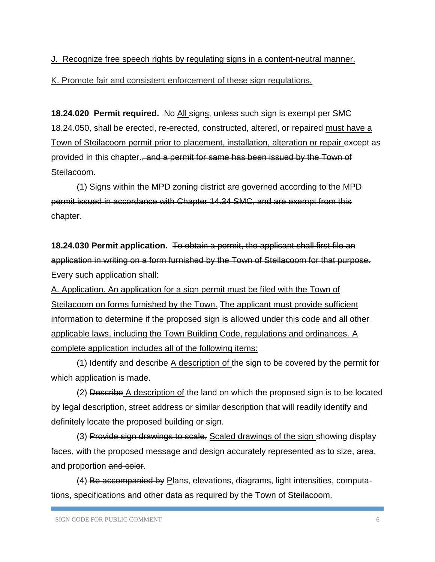#### J. Recognize free speech rights by regulating signs in a content-neutral manner.

K. Promote fair and consistent enforcement of these sign regulations.

**18.24.020 Permit required.** No All signs, unless such sign is exempt per SMC 18.24.050, shall be erected, re-erected, constructed, altered, or repaired must have a Town of Steilacoom permit prior to placement, installation, alteration or repair except as provided in this chapter., and a permit for same has been issued by the Town of Steilacoom.

(1) Signs within the MPD zoning district are governed according to the MPD permit issued in accordance with Chapter 14.34 SMC, and are exempt from this chapter.

**18.24.030 Permit application.** To obtain a permit, the applicant shall first file an application in writing on a form furnished by the Town of Steilacoom for that purpose. Every such application shall:

A. Application. An application for a sign permit must be filed with the Town of Steilacoom on forms furnished by the Town. The applicant must provide sufficient information to determine if the proposed sign is allowed under this code and all other applicable laws, including the Town Building Code, regulations and ordinances. A complete application includes all of the following items:

(1) Identify and describe A description of the sign to be covered by the permit for which application is made.

(2) Describe A description of the land on which the proposed sign is to be located by legal description, street address or similar description that will readily identify and definitely locate the proposed building or sign.

(3) Provide sign drawings to scale, Scaled drawings of the sign showing display faces, with the proposed message and design accurately represented as to size, area, and proportion and color.

(4) Be accompanied by Plans, elevations, diagrams, light intensities, computations, specifications and other data as required by the Town of Steilacoom.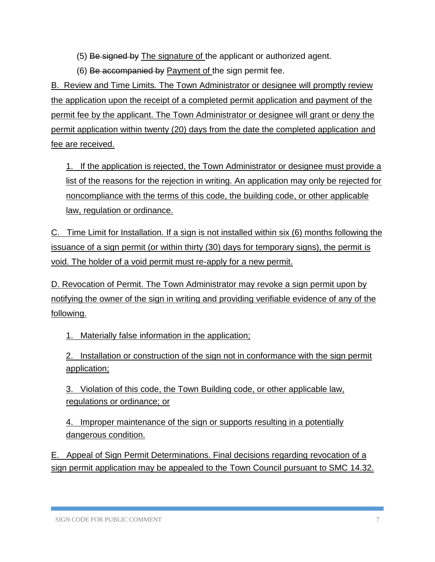(5) Be signed by The signature of the applicant or authorized agent.

(6) Be accompanied by Payment of the sign permit fee.

B. Review and Time Limits*.* The Town Administrator or designee will promptly review the application upon the receipt of a completed permit application and payment of the permit fee by the applicant. The Town Administrator or designee will grant or deny the permit application within twenty (20) days from the date the completed application and fee are received.

1. If the application is rejected, the Town Administrator or designee must provide a list of the reasons for the rejection in writing. An application may only be rejected for noncompliance with the terms of this code, the building code, or other applicable law, regulation or ordinance.

C. Time Limit for Installation*.* If a sign is not installed within six (6) months following the issuance of a sign permit (or within thirty (30) days for temporary signs), the permit is void. The holder of a void permit must re-apply for a new permit.

D. Revocation of Permit. The Town Administrator may revoke a sign permit upon by notifying the owner of the sign in writing and providing verifiable evidence of any of the following.

1. Materially false information in the application;

2. Installation or construction of the sign not in conformance with the sign permit application;

3. Violation of this code, the Town Building code, or other applicable law, regulations or ordinance; or

4. Improper maintenance of the sign or supports resulting in a potentially dangerous condition.

E. Appeal of Sign Permit Determinations. Final decisions regarding revocation of a sign permit application may be appealed to the Town Council pursuant to SMC 14.32.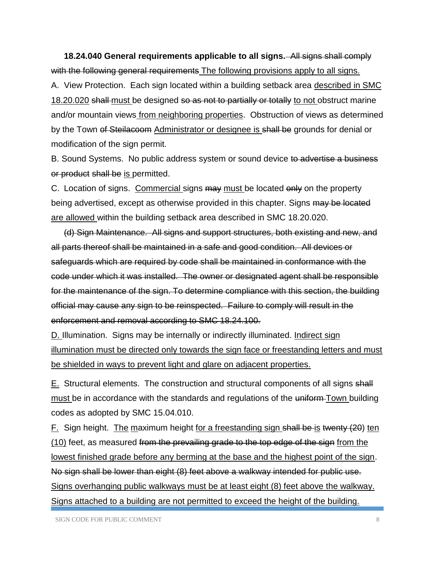**18.24.040 General requirements applicable to all signs.** All signs shall comply with the following general requirements The following provisions apply to all signs. A. View Protection. Each sign located within a building setback area described in SMC 18.20.020 shall must be designed so as not to partially or totally to not obstruct marine and/or mountain views from neighboring properties. Obstruction of views as determined by the Town of Steilacoom Administrator or designee is shall be grounds for denial or modification of the sign permit.

B. Sound Systems. No public address system or sound device to advertise a business or product shall be is permitted.

C. Location of signs. Commercial signs may must be located only on the property being advertised, except as otherwise provided in this chapter. Signs may be located are allowed within the building setback area described in SMC 18.20.020.

(d) Sign Maintenance. All signs and support structures, both existing and new, and all parts thereof shall be maintained in a safe and good condition. All devices or safeguards which are required by code shall be maintained in conformance with the code under which it was installed. The owner or designated agent shall be responsible for the maintenance of the sign. To determine compliance with this section, the building official may cause any sign to be reinspected. Failure to comply will result in the enforcement and removal according to SMC 18.24.100.

D. Illumination. Signs may be internally or indirectly illuminated. Indirect sign illumination must be directed only towards the sign face or freestanding letters and must be shielded in ways to prevent light and glare on adjacent properties.

E. Structural elements. The construction and structural components of all signs shall must be in accordance with the standards and regulations of the uniform Town building codes as adopted by SMC 15.04.010.

F. Sign height. The maximum height for a freestanding sign shall be is twenty (20) ten (10) feet, as measured from the prevailing grade to the top edge of the sign from the lowest finished grade before any berming at the base and the highest point of the sign. No sign shall be lower than eight (8) feet above a walkway intended for public use. Signs overhanging public walkways must be at least eight (8) feet above the walkway. Signs attached to a building are not permitted to exceed the height of the building.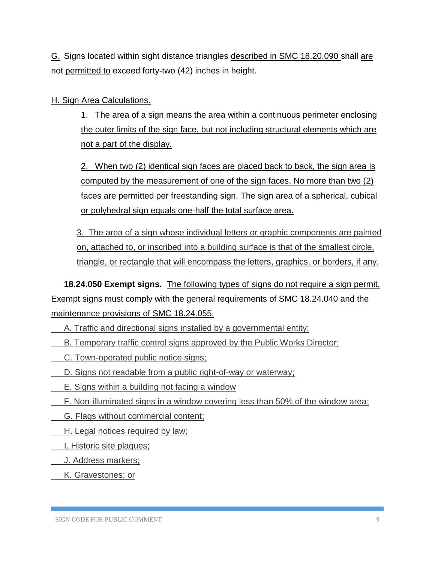G. Signs located within sight distance triangles described in SMC 18.20.090 shall are not permitted to exceed forty-two (42) inches in height.

#### H. Sign Area Calculations.

1. The area of a sign means the area within a continuous perimeter enclosing the outer limits of the sign face, but not including structural elements which are not a part of the display.

2. When two (2) identical sign faces are placed back to back, the sign area is computed by the measurement of one of the sign faces. No more than two (2) faces are permitted per freestanding sign. The sign area of a spherical, cubical or polyhedral sign equals one-half the total surface area.

3. The area of a sign whose individual letters or graphic components are painted on, attached to, or inscribed into a building surface is that of the smallest circle, triangle, or rectangle that will encompass the letters, graphics, or borders, if any.

**18.24.050 Exempt signs.** The following types of signs do not require a sign permit. Exempt signs must comply with the general requirements of SMC 18.24.040 and the maintenance provisions of SMC 18.24.055.

A. Traffic and directional signs installed by a governmental entity;

B. Temporary traffic control signs approved by the Public Works Director;

C. Town-operated public notice signs;

D. Signs not readable from a public right-of-way or waterway;

E. Signs within a building not facing a window

F. Non-illuminated signs in a window covering less than 50% of the window area;

G. Flags without commercial content;

H. Legal notices required by law;

I. Historic site plaques;

J. Address markers;

K. Gravestones; or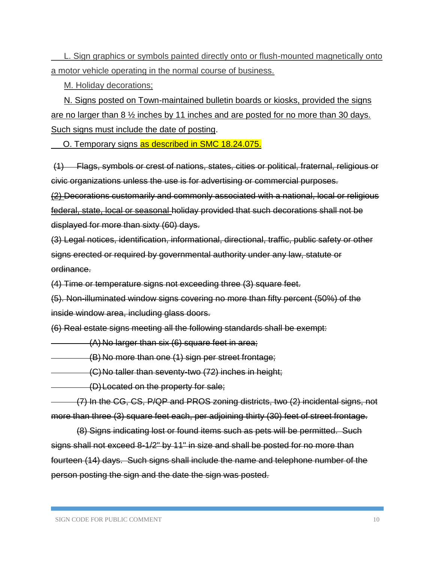L. Sign graphics or symbols painted directly onto or flush-mounted magnetically onto a motor vehicle operating in the normal course of business.

M. Holiday decorations;

N. Signs posted on Town-maintained bulletin boards or kiosks, provided the signs are no larger than 8 ½ inches by 11 inches and are posted for no more than 30 days. Such signs must include the date of posting.

O. Temporary signs as described in SMC 18.24.075.

(1) Flags, symbols or crest of nations, states, cities or political, fraternal, religious or civic organizations unless the use is for advertising or commercial purposes.

(2) Decorations customarily and commonly associated with a national, local or religious federal, state, local or seasonal holiday provided that such decorations shall not be displayed for more than sixty (60) days.

(3) Legal notices, identification, informational, directional, traffic, public safety or other signs erected or required by governmental authority under any law, statute or ordinance.

(4) Time or temperature signs not exceeding three (3) square feet.

(5). Non-illuminated window signs covering no more than fifty percent (50%) of the inside window area, including glass doors.

(6) Real estate signs meeting all the following standards shall be exempt:

(A) No larger than six (6) square feet in area;

(B) No more than one (1) sign per street frontage;

(C)No taller than seventy-two (72) inches in height;

(D)Located on the property for sale;

(7) In the CG, CS, P/QP and PROS zoning districts, two (2) incidental signs, not more than three (3) square feet each, per adjoining thirty (30) feet of street frontage.

(8) Signs indicating lost or found items such as pets will be permitted. Such signs shall not exceed 8-1/2" by 11" in size and shall be posted for no more than fourteen (14) days. Such signs shall include the name and telephone number of the person posting the sign and the date the sign was posted.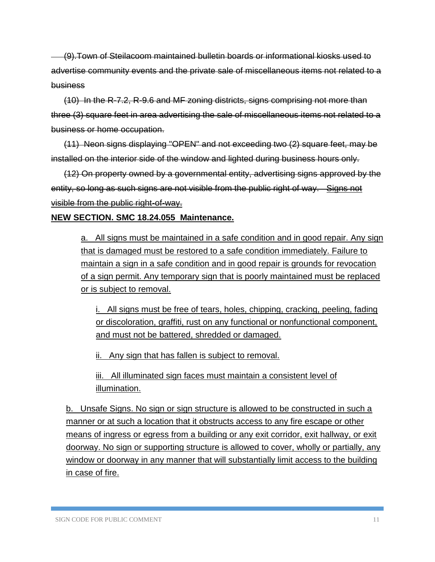(9).Town of Steilacoom maintained bulletin boards or informational kiosks used to advertise community events and the private sale of miscellaneous items not related to a business

(10) In the R-7.2, R-9.6 and MF zoning districts, signs comprising not more than three (3) square feet in area advertising the sale of miscellaneous items not related to a business or home occupation.

(11) Neon signs displaying "OPEN" and not exceeding two (2) square feet, may be installed on the interior side of the window and lighted during business hours only.

(12) On property owned by a governmental entity, advertising signs approved by the entity, so long as such signs are not visible from the public right of way. Signs not visible from the public right-of-way.

#### **NEW SECTION. SMC 18.24.055 Maintenance.**

a. All signs must be maintained in a safe condition and in good repair. Any sign that is damaged must be restored to a safe condition immediately. Failure to maintain a sign in a safe condition and in good repair is grounds for revocation of a sign permit. Any temporary sign that is poorly maintained must be replaced or is subject to removal.

i. All signs must be free of tears, holes, chipping, cracking, peeling, fading or discoloration, graffiti, rust on any functional or nonfunctional component, and must not be battered, shredded or damaged.

ii. Any sign that has fallen is subject to removal.

iii. All illuminated sign faces must maintain a consistent level of illumination.

b. Unsafe Signs. No sign or sign structure is allowed to be constructed in such a manner or at such a location that it obstructs access to any fire escape or other means of ingress or egress from a building or any exit corridor, exit hallway, or exit doorway. No sign or supporting structure is allowed to cover, wholly or partially, any window or doorway in any manner that will substantially limit access to the building in case of fire.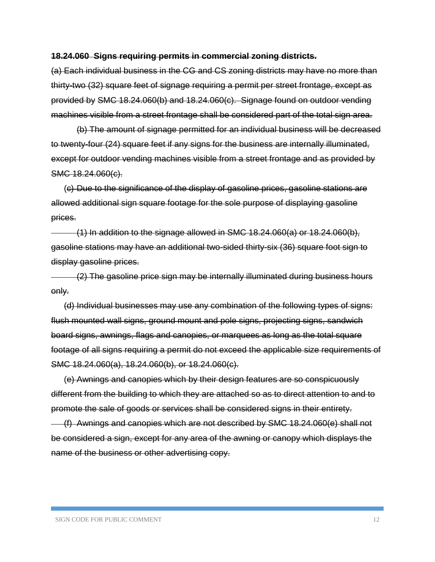#### **18.24.060 Signs requiring permits in commercial zoning districts.**

(a) Each individual business in the CG and CS zoning districts may have no more than thirty-two (32) square feet of signage requiring a permit per street frontage, except as provided by SMC 18.24.060(b) and 18.24.060(c). Signage found on outdoor vending machines visible from a street frontage shall be considered part of the total sign area.

(b) The amount of signage permitted for an individual business will be decreased to twenty-four (24) square feet if any signs for the business are internally illuminated, except for outdoor vending machines visible from a street frontage and as provided by SMC 18.24.060(c).

(c) Due to the significance of the display of gasoline prices, gasoline stations are allowed additional sign square footage for the sole purpose of displaying gasoline prices.

 $(1)$  In addition to the signage allowed in SMC 18.24.060(a) or 18.24.060(b), gasoline stations may have an additional two-sided thirty-six (36) square foot sign to display gasoline prices.

(2) The gasoline price sign may be internally illuminated during business hours only.

(d) Individual businesses may use any combination of the following types of signs: flush mounted wall signs, ground mount and pole signs, projecting signs, sandwich board signs, awnings, flags and canopies, or marquees as long as the total square footage of all signs requiring a permit do not exceed the applicable size requirements of SMC 18.24.060(a), 18.24.060(b), or 18.24.060(c).

(e) Awnings and canopies which by their design features are so conspicuously different from the building to which they are attached so as to direct attention to and to promote the sale of goods or services shall be considered signs in their entirety. (f) Awnings and canopies which are not described by SMC 18.24.060(e) shall not be considered a sign, except for any area of the awning or canopy which displays the name of the business or other advertising copy.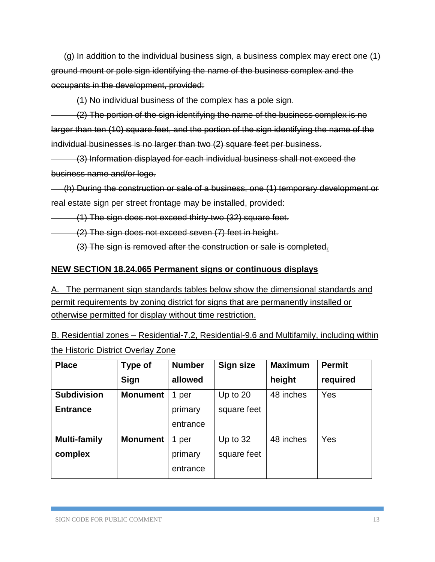(g) In addition to the individual business sign, a business complex may erect one (1) ground mount or pole sign identifying the name of the business complex and the occupants in the development, provided:

(1) No individual business of the complex has a pole sign.

(2) The portion of the sign identifying the name of the business complex is no larger than ten (10) square feet, and the portion of the sign identifying the name of the individual businesses is no larger than two (2) square feet per business.

(3) Information displayed for each individual business shall not exceed the business name and/or logo.

(h) During the construction or sale of a business, one (1) temporary development or real estate sign per street frontage may be installed, provided:

(1) The sign does not exceed thirty-two (32) square feet.

(2) The sign does not exceed seven (7) feet in height.

(3) The sign is removed after the construction or sale is completed*.*

#### **NEW SECTION 18.24.065 Permanent signs or continuous displays**

A. The permanent sign standards tables below show the dimensional standards and permit requirements by zoning district for signs that are permanently installed or otherwise permitted for display without time restriction.

B. Residential zones – Residential-7.2, Residential-9.6 and Multifamily, including within the Historic District Overlay Zone

| <b>Place</b>        | <b>Type of</b>  | <b>Number</b> | Sign size   | <b>Maximum</b> | <b>Permit</b> |
|---------------------|-----------------|---------------|-------------|----------------|---------------|
|                     | Sign            | allowed       |             | height         | required      |
| <b>Subdivision</b>  | <b>Monument</b> | 1 per         | Up to $20$  | 48 inches      | Yes           |
| <b>Entrance</b>     |                 | primary       | square feet |                |               |
|                     |                 | entrance      |             |                |               |
| <b>Multi-family</b> | <b>Monument</b> | 1<br>per      | Up to $32$  | 48 inches      | Yes           |
| complex             |                 | primary       | square feet |                |               |
|                     |                 | entrance      |             |                |               |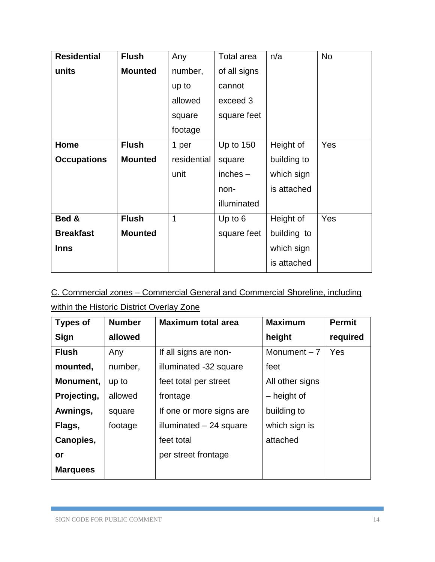| <b>Residential</b> | <b>Flush</b>   | Any         | Total area   | n/a         | <b>No</b> |
|--------------------|----------------|-------------|--------------|-------------|-----------|
| units              | <b>Mounted</b> | number,     | of all signs |             |           |
|                    |                | up to       | cannot       |             |           |
|                    |                |             | exceed 3     |             |           |
|                    |                | square      | square feet  |             |           |
|                    |                | footage     |              |             |           |
| Home               | <b>Flush</b>   | 1 per       | Up to 150    | Height of   | Yes       |
| <b>Occupations</b> | <b>Mounted</b> | residential | square       | building to |           |
|                    |                | unit        | $inches -$   | which sign  |           |
|                    |                |             | non-         | is attached |           |
|                    |                |             | illuminated  |             |           |
| Bed &              | <b>Flush</b>   | 1           | Up to $6$    | Height of   | Yes       |
| <b>Breakfast</b>   | <b>Mounted</b> |             | square feet  | building to |           |
| <b>Inns</b>        |                |             |              | which sign  |           |
|                    |                |             |              | is attached |           |

C. Commercial zones – Commercial General and Commercial Shoreline, including within the Historic District Overlay Zone

| <b>Types of</b> | <b>Number</b> | <b>Maximum total area</b> | <b>Maximum</b>  | <b>Permit</b> |
|-----------------|---------------|---------------------------|-----------------|---------------|
| Sign            | allowed       |                           | height          | required      |
| <b>Flush</b>    | Any           | If all signs are non-     | Monument $-7$   | Yes           |
| mounted,        | number,       | illuminated -32 square    | feet            |               |
| Monument,       | up to         | feet total per street     | All other signs |               |
| Projecting,     | allowed       | frontage                  | - height of     |               |
| Awnings,        | square        | If one or more signs are  | building to     |               |
| Flags,          | footage       | illuminated $-24$ square  | which sign is   |               |
| Canopies,       |               | feet total                | attached        |               |
| or              |               | per street frontage       |                 |               |
| <b>Marquees</b> |               |                           |                 |               |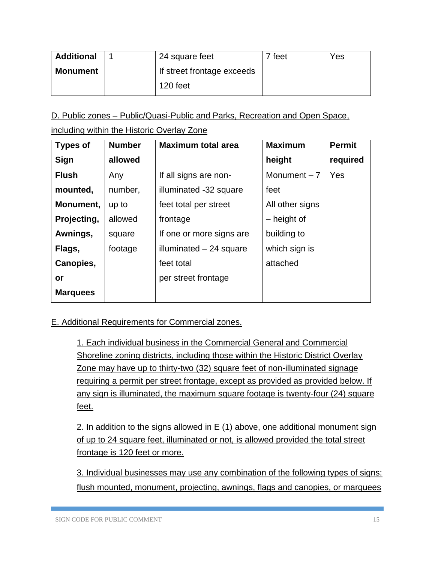| <b>Additional</b> | 24 square feet             | feet | Yes |
|-------------------|----------------------------|------|-----|
| Monument          | If street frontage exceeds |      |     |
|                   | 120 feet                   |      |     |

D. Public zones – Public/Quasi-Public and Parks, Recreation and Open Space,

including within the Historic Overlay Zone

| <b>Types of</b> | <b>Number</b> | <b>Maximum total area</b> | <b>Maximum</b>  | <b>Permit</b> |
|-----------------|---------------|---------------------------|-----------------|---------------|
| Sign            | allowed       |                           | height          | required      |
| <b>Flush</b>    | Any           | If all signs are non-     | Monument $-7$   | Yes           |
| mounted,        | number,       | illuminated -32 square    | feet            |               |
| Monument,       | up to         | feet total per street     | All other signs |               |
| Projecting,     | allowed       | frontage                  | - height of     |               |
| Awnings,        | square        | If one or more signs are  | building to     |               |
| Flags,          | footage       | illuminated $-24$ square  | which sign is   |               |
| Canopies,       |               | feet total                | attached        |               |
| or              |               | per street frontage       |                 |               |
| <b>Marquees</b> |               |                           |                 |               |
|                 |               |                           |                 |               |

E. Additional Requirements for Commercial zones.

1. Each individual business in the Commercial General and Commercial Shoreline zoning districts, including those within the Historic District Overlay Zone may have up to thirty-two (32) square feet of non-illuminated signage requiring a permit per street frontage, except as provided as provided below. If any sign is illuminated, the maximum square footage is twenty-four (24) square feet.

2. In addition to the signs allowed in E (1) above, one additional monument sign of up to 24 square feet, illuminated or not, is allowed provided the total street frontage is 120 feet or more.

3. Individual businesses may use any combination of the following types of signs: flush mounted, monument, projecting, awnings, flags and canopies, or marquees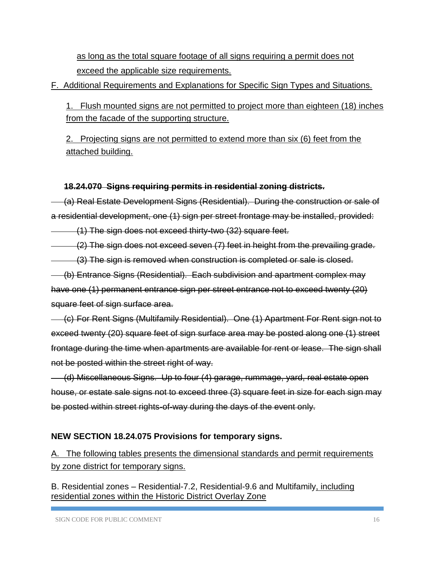as long as the total square footage of all signs requiring a permit does not exceed the applicable size requirements.

F. Additional Requirements and Explanations for Specific Sign Types and Situations.

1. Flush mounted signs are not permitted to project more than eighteen (18) inches from the facade of the supporting structure.

2. Projecting signs are not permitted to extend more than six (6) feet from the attached building.

### **18.24.070 Signs requiring permits in residential zoning districts.**

(a) Real Estate Development Signs (Residential). During the construction or sale of a residential development, one (1) sign per street frontage may be installed, provided:

(1) The sign does not exceed thirty-two (32) square feet.

(2) The sign does not exceed seven (7) feet in height from the prevailing grade.

(3) The sign is removed when construction is completed or sale is closed.

(b) Entrance Signs (Residential). Each subdivision and apartment complex may have one (1) permanent entrance sign per street entrance not to exceed twenty (20) square feet of sign surface area.

(c) For Rent Signs (Multifamily Residential). One (1) Apartment For Rent sign not to exceed twenty (20) square feet of sign surface area may be posted along one (1) street frontage during the time when apartments are available for rent or lease. The sign shall not be posted within the street right of way.

(d) Miscellaneous Signs. Up to four (4) garage, rummage, yard, real estate open house, or estate sale signs not to exceed three (3) square feet in size for each sign may be posted within street rights-of-way during the days of the event only.

## **NEW SECTION 18.24.075 Provisions for temporary signs.**

A. The following tables presents the dimensional standards and permit requirements by zone district for temporary signs.

B. Residential zones – Residential-7.2, Residential-9.6 and Multifamily, including residential zones within the Historic District Overlay Zone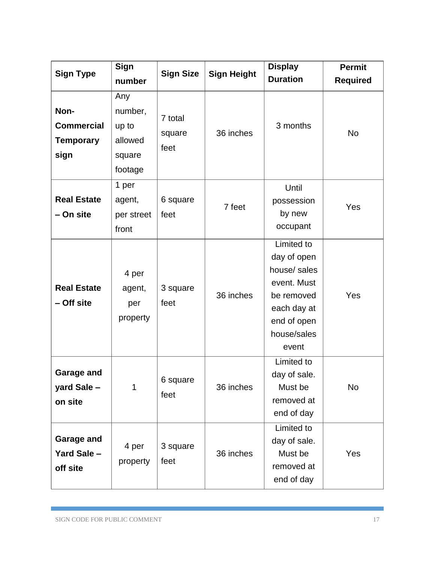| <b>Sign Type</b>                                      | <b>Sign</b><br>number                                   | <b>Sign Size</b>          | <b>Sign Height</b> | <b>Display</b><br><b>Duration</b>                                                                                            | <b>Permit</b><br><b>Required</b> |
|-------------------------------------------------------|---------------------------------------------------------|---------------------------|--------------------|------------------------------------------------------------------------------------------------------------------------------|----------------------------------|
| Non-<br><b>Commercial</b><br><b>Temporary</b><br>sign | Any<br>number,<br>up to<br>allowed<br>square<br>footage | 7 total<br>square<br>feet | 36 inches          | 3 months                                                                                                                     | <b>No</b>                        |
| <b>Real Estate</b><br>- On site                       | 1 per<br>agent,<br>per street<br>front                  | 6 square<br>feet          | 7 feet             | Until<br>possession<br>by new<br>occupant                                                                                    | Yes                              |
| <b>Real Estate</b><br>- Off site                      | 4 per<br>agent,<br>per<br>property                      | 3 square<br>feet          | 36 inches          | Limited to<br>day of open<br>house/ sales<br>event. Must<br>be removed<br>each day at<br>end of open<br>house/sales<br>event | Yes                              |
| <b>Garage and</b><br>yard Sale -<br>on site           | 1                                                       | 6 square<br>feet          | 36 inches          | Limited to<br>day of sale.<br>Must be<br>removed at<br>end of day                                                            | <b>No</b>                        |
| Garage and<br>Yard Sale -<br>off site                 | 4 per<br>property                                       | 3 square<br>feet          | 36 inches          | Limited to<br>day of sale.<br>Must be<br>removed at<br>end of day                                                            | Yes                              |

T.

Ŧ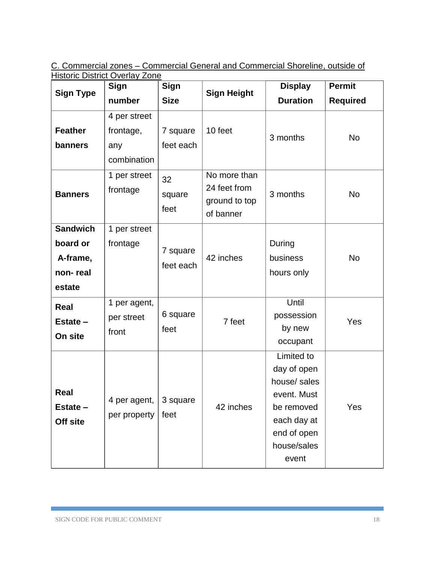C. Commercial zones – Commercial General and Commercial Shoreline, outside of Historic District Overlay Zone

| <b>Sign Type</b>                                              | Sign                                            | <b>Sign</b>           |                                                            | <b>Display</b>                                                                                                               | <b>Permit</b>   |
|---------------------------------------------------------------|-------------------------------------------------|-----------------------|------------------------------------------------------------|------------------------------------------------------------------------------------------------------------------------------|-----------------|
|                                                               | number                                          | <b>Size</b>           | <b>Sign Height</b>                                         | <b>Duration</b>                                                                                                              | <b>Required</b> |
| <b>Feather</b><br>banners                                     | 4 per street<br>frontage,<br>any<br>combination | 7 square<br>feet each | 10 feet                                                    | 3 months                                                                                                                     | <b>No</b>       |
| <b>Banners</b>                                                | 1 per street<br>frontage                        | 32<br>square<br>feet  | No more than<br>24 feet from<br>ground to top<br>of banner | 3 months                                                                                                                     | <b>No</b>       |
| <b>Sandwich</b><br>board or<br>A-frame,<br>non-real<br>estate | 1 per street<br>frontage                        | 7 square<br>feet each | 42 inches                                                  | During<br>business<br>hours only                                                                                             | <b>No</b>       |
| Real<br>Estate -<br>On site                                   | 1 per agent,<br>per street<br>front             | 6 square<br>feet      | 7 feet                                                     | Until<br>possession<br>by new<br>occupant                                                                                    | Yes             |
| Real<br>Estate -<br>Off site                                  | 4 per agent,<br>per property                    | 3 square<br>feet      | 42 inches                                                  | Limited to<br>day of open<br>house/ sales<br>event. Must<br>be removed<br>each day at<br>end of open<br>house/sales<br>event | Yes             |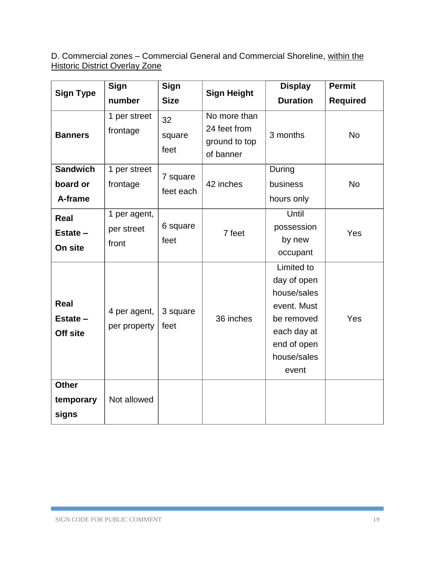D. Commercial zones – Commercial General and Commercial Shoreline, within the Historic District Overlay Zone

|                                        | Sign                                | Sign                  |                                                            | <b>Display</b>                                                                                                              | <b>Permit</b>   |
|----------------------------------------|-------------------------------------|-----------------------|------------------------------------------------------------|-----------------------------------------------------------------------------------------------------------------------------|-----------------|
| <b>Sign Type</b>                       | number                              | <b>Size</b>           | <b>Sign Height</b>                                         | <b>Duration</b>                                                                                                             | <b>Required</b> |
| <b>Banners</b>                         | 1 per street<br>frontage            | 32<br>square<br>feet  | No more than<br>24 feet from<br>ground to top<br>of banner | 3 months                                                                                                                    | <b>No</b>       |
| <b>Sandwich</b><br>board or<br>A-frame | 1 per street<br>frontage            | 7 square<br>feet each | 42 inches                                                  | During<br>business<br>hours only                                                                                            | <b>No</b>       |
| Real<br>Estate -<br>On site            | 1 per agent,<br>per street<br>front | 6 square<br>feet      | 7 feet                                                     | Until<br>possession<br>by new<br>occupant                                                                                   | Yes             |
| Real<br>Estate -<br>Off site           | 4 per agent,<br>per property        | 3 square<br>feet      | 36 inches                                                  | Limited to<br>day of open<br>house/sales<br>event. Must<br>be removed<br>each day at<br>end of open<br>house/sales<br>event | Yes             |
| <b>Other</b><br>temporary<br>signs     | Not allowed                         |                       |                                                            |                                                                                                                             |                 |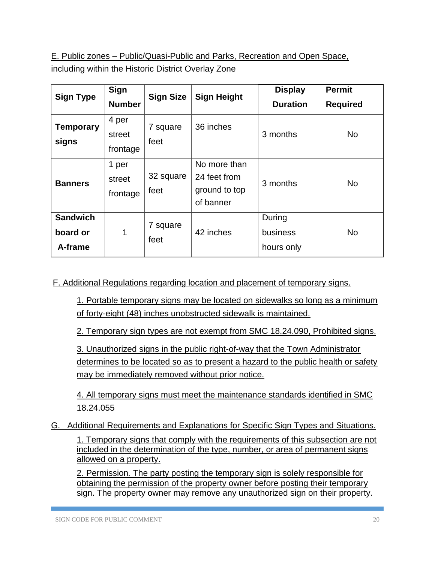E. Public zones – Public/Quasi-Public and Parks, Recreation and Open Space, including within the Historic District Overlay Zone

| <b>Sign Type</b>                       | Sign<br><b>Number</b>       | <b>Sign Size</b>  | <b>Sign Height</b>                                         | <b>Display</b><br><b>Duration</b> | <b>Permit</b><br><b>Required</b> |
|----------------------------------------|-----------------------------|-------------------|------------------------------------------------------------|-----------------------------------|----------------------------------|
| <b>Temporary</b><br>signs              | 4 per<br>street<br>frontage | 7 square<br>feet  | 36 inches                                                  | 3 months                          | <b>No</b>                        |
| <b>Banners</b>                         | 1 per<br>street<br>frontage | 32 square<br>feet | No more than<br>24 feet from<br>ground to top<br>of banner | 3 months                          | <b>No</b>                        |
| <b>Sandwich</b><br>board or<br>A-frame | 1                           | 7 square<br>feet  | 42 inches                                                  | During<br>business<br>hours only  | <b>No</b>                        |

F. Additional Regulations regarding location and placement of temporary signs.

1. Portable temporary signs may be located on sidewalks so long as a minimum of forty-eight (48) inches unobstructed sidewalk is maintained.

2. Temporary sign types are not exempt from SMC 18.24.090, Prohibited signs.

3. Unauthorized signs in the public right-of-way that the Town Administrator determines to be located so as to present a hazard to the public health or safety may be immediately removed without prior notice.

4. All temporary signs must meet the maintenance standards identified in SMC 18.24.055

G. Additional Requirements and Explanations for Specific Sign Types and Situations.

1. Temporary signs that comply with the requirements of this subsection are not included in the determination of the type, number, or area of permanent signs allowed on a property.

2. Permission*.* The party posting the temporary sign is solely responsible for obtaining the permission of the property owner before posting their temporary sign. The property owner may remove any unauthorized sign on their property.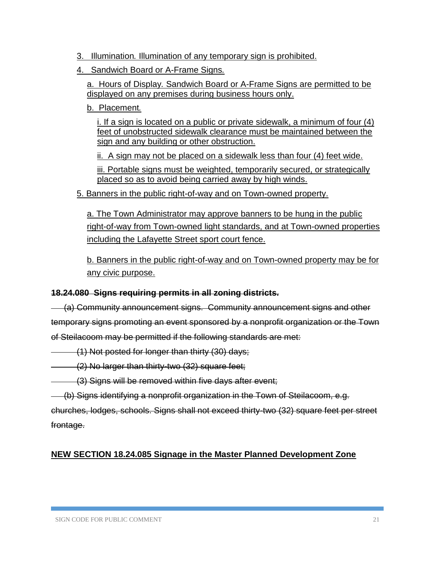- 3. Illumination*.* Illumination of any temporary sign is prohibited.
- 4. Sandwich Board or A-Frame Signs*.*

a. Hours of Display*.* Sandwich Board or A-Frame Signs are permitted to be displayed on any premises during business hours only.

b. Placement*.*

i. If a sign is located on a public or private sidewalk, a minimum of four (4) feet of unobstructed sidewalk clearance must be maintained between the sign and any building or other obstruction.

ii. A sign may not be placed on a sidewalk less than four (4) feet wide.

iii. Portable signs must be weighted, temporarily secured, or strategically placed so as to avoid being carried away by high winds.

5. Banners in the public right-of-way and on Town-owned property.

a. The Town Administrator may approve banners to be hung in the public right-of-way from Town-owned light standards, and at Town-owned properties including the Lafayette Street sport court fence.

b. Banners in the public right-of-way and on Town-owned property may be for any civic purpose.

### **18.24.080 Signs requiring permits in all zoning districts.**

(a) Community announcement signs. Community announcement signs and other temporary signs promoting an event sponsored by a nonprofit organization or the Town of Steilacoom may be permitted if the following standards are met:

(1) Not posted for longer than thirty (30) days;

(2) No larger than thirty-two (32) square feet;

(3) Signs will be removed within five days after event;

(b) Signs identifying a nonprofit organization in the Town of Steilacoom, e.g.

churches, lodges, schools. Signs shall not exceed thirty-two (32) square feet per street frontage.

## **NEW SECTION 18.24.085 Signage in the Master Planned Development Zone**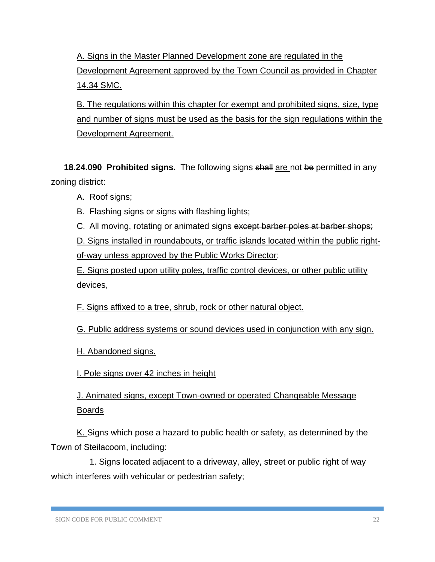A. Signs in the Master Planned Development zone are regulated in the Development Agreement approved by the Town Council as provided in Chapter 14.34 SMC.

B. The regulations within this chapter for exempt and prohibited signs, size, type and number of signs must be used as the basis for the sign regulations within the Development Agreement.

**18.24.090 Prohibited signs.** The following signs shall are not be permitted in any zoning district:

- A. Roof signs;
- B. Flashing signs or signs with flashing lights;

C. All moving, rotating or animated signs except barber poles at barber shops; D. Signs installed in roundabouts, or traffic islands located within the public rightof-way unless approved by the Public Works Director;

E. Signs posted upon utility poles, traffic control devices, or other public utility devices,

F. Signs affixed to a tree, shrub, rock or other natural object.

G. Public address systems or sound devices used in conjunction with any sign.

H. Abandoned signs.

I. Pole signs over 42 inches in height

J. Animated signs, except Town-owned or operated Changeable Message Boards

K. Signs which pose a hazard to public health or safety, as determined by the Town of Steilacoom, including:

1. Signs located adjacent to a driveway, alley, street or public right of way which interferes with vehicular or pedestrian safety;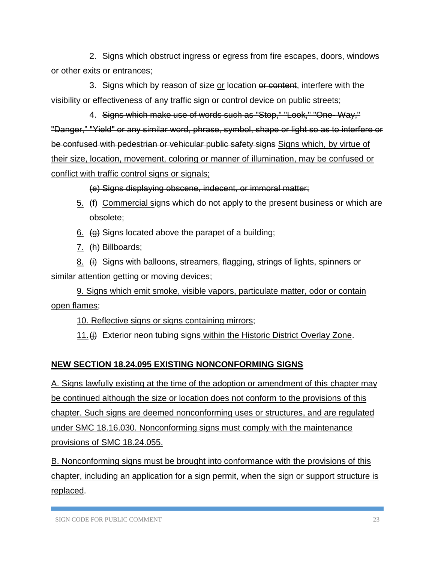2. Signs which obstruct ingress or egress from fire escapes, doors, windows or other exits or entrances;

3. Signs which by reason of size or location or content, interfere with the visibility or effectiveness of any traffic sign or control device on public streets;

4. Signs which make use of words such as "Stop," "Look," "One- Way," "Danger," "Yield" or any similar word, phrase, symbol, shape or light so as to interfere or be confused with pedestrian or vehicular public safety signs Signs which, by virtue of their size, location, movement, coloring or manner of illumination, may be confused or conflict with traffic control signs or signals;

(e) Signs displaying obscene, indecent, or immoral matter;

- 5.  $(f)$  Commercial signs which do not apply to the present business or which are obsolete;
- $6.$  (g) Signs located above the parapet of a building;
- 7. (h) Billboards;

8.  $\left(\frac{1}{2}\right)$  Signs with balloons, streamers, flagging, strings of lights, spinners or similar attention getting or moving devices;

9. Signs which emit smoke, visible vapors, particulate matter, odor or contain open flames;

10. Reflective signs or signs containing mirrors;

11.(i) Exterior neon tubing signs within the Historic District Overlay Zone.

# **NEW SECTION 18.24.095 EXISTING NONCONFORMING SIGNS**

A. Signs lawfully existing at the time of the adoption or amendment of this chapter may be continued although the size or location does not conform to the provisions of this chapter. Such signs are deemed nonconforming uses or structures, and are regulated under SMC 18.16.030. Nonconforming signs must comply with the maintenance provisions of SMC 18.24.055.

B. Nonconforming signs must be brought into conformance with the provisions of this chapter, including an application for a sign permit, when the sign or support structure is replaced.

SIGN CODE FOR PUBLIC COMMENT 23